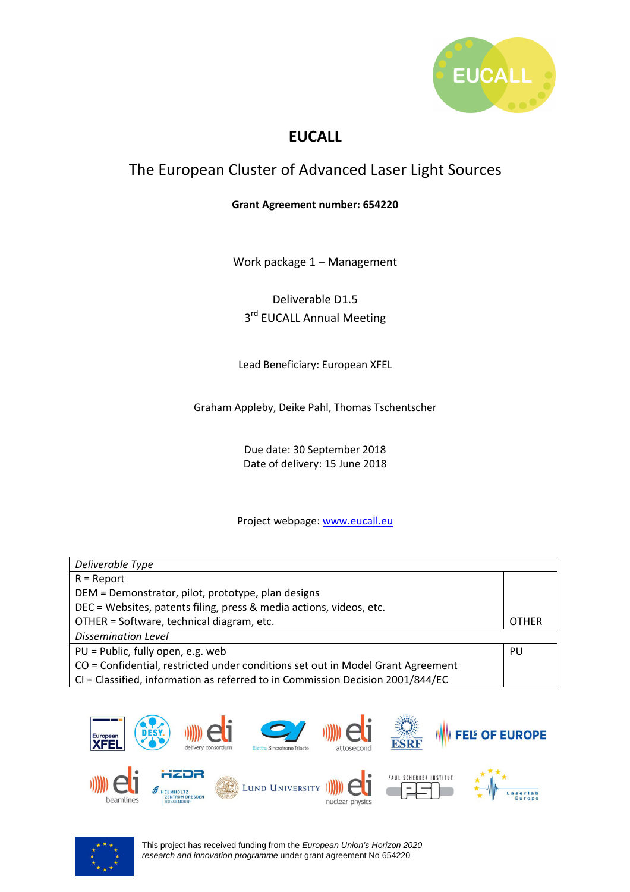

## **EUCALL**

# The European Cluster of Advanced Laser Light Sources

#### **Grant Agreement number: 654220**

Work package 1 – Management

Deliverable D1.5 3<sup>rd</sup> EUCALL Annual Meeting

Lead Beneficiary: European XFEL

Graham Appleby, Deike Pahl, Thomas Tschentscher

Due date: 30 September 2018 Date of delivery: 15 June 2018

#### Project webpage: www.eucall.eu

| Deliverable Type                                                                |    |
|---------------------------------------------------------------------------------|----|
| $R =$ Report                                                                    |    |
| DEM = Demonstrator, pilot, prototype, plan designs                              |    |
| DEC = Websites, patents filing, press & media actions, videos, etc.             |    |
| OTHER = Software, technical diagram, etc.                                       |    |
| <b>Dissemination Level</b>                                                      |    |
| PU = Public, fully open, e.g. web                                               | PU |
| CO = Confidential, restricted under conditions set out in Model Grant Agreement |    |
| CI = Classified, information as referred to in Commission Decision 2001/844/EC  |    |



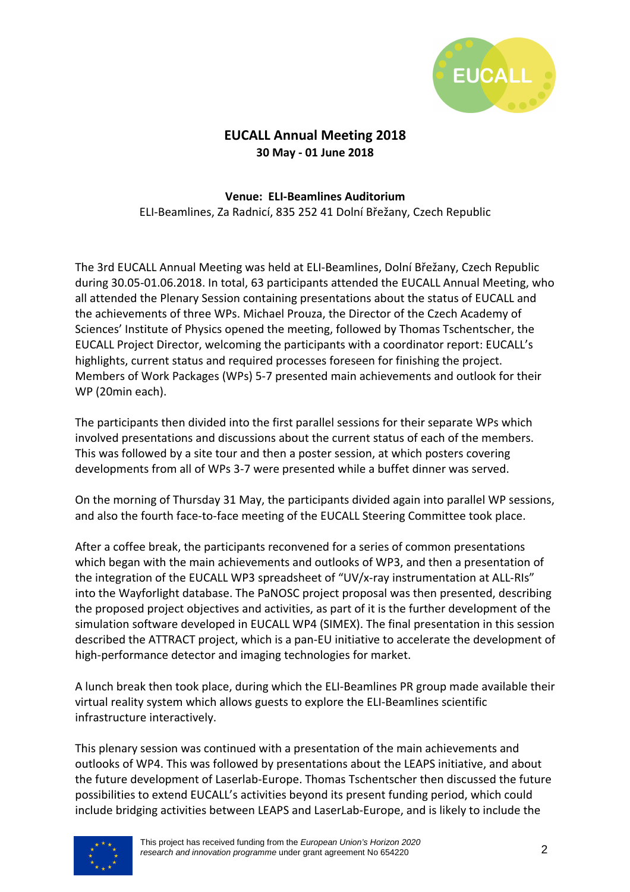

### **EUCALL Annual Meeting 2018 30 May - 01 June 2018**

## **Venue: ELI-Beamlines Auditorium**

ELI-Beamlines, Za Radnicí, 835 252 41 Dolní Břežany, Czech Republic

The 3rd EUCALL Annual Meeting was held at ELI-Beamlines, Dolní Břežany, Czech Republic during 30.05-01.06.2018. In total, 63 participants attended the EUCALL Annual Meeting, who all attended the Plenary Session containing presentations about the status of EUCALL and the achievements of three WPs. Michael Prouza, the Director of the Czech Academy of Sciences' Institute of Physics opened the meeting, followed by Thomas Tschentscher, the EUCALL Project Director, welcoming the participants with a coordinator report: EUCALL's highlights, current status and required processes foreseen for finishing the project. Members of Work Packages (WPs) 5-7 presented main achievements and outlook for their WP (20min each).

The participants then divided into the first parallel sessions for their separate WPs which involved presentations and discussions about the current status of each of the members. This was followed by a site tour and then a poster session, at which posters covering developments from all of WPs 3-7 were presented while a buffet dinner was served.

On the morning of Thursday 31 May, the participants divided again into parallel WP sessions, and also the fourth face-to-face meeting of the EUCALL Steering Committee took place.

After a coffee break, the participants reconvened for a series of common presentations which began with the main achievements and outlooks of WP3, and then a presentation of the integration of the EUCALL WP3 spreadsheet of "UV/x-ray instrumentation at ALL-RIs" into the Wayforlight database. The PaNOSC project proposal was then presented, describing the proposed project objectives and activities, as part of it is the further development of the simulation software developed in EUCALL WP4 (SIMEX). The final presentation in this session described the ATTRACT project, which is a pan-EU initiative to accelerate the development of high-performance detector and imaging technologies for market.

A lunch break then took place, during which the ELI-Beamlines PR group made available their virtual reality system which allows guests to explore the ELI-Beamlines scientific infrastructure interactively.

This plenary session was continued with a presentation of the main achievements and outlooks of WP4. This was followed by presentations about the LEAPS initiative, and about the future development of Laserlab-Europe. Thomas Tschentscher then discussed the future possibilities to extend EUCALL's activities beyond its present funding period, which could include bridging activities between LEAPS and LaserLab-Europe, and is likely to include the

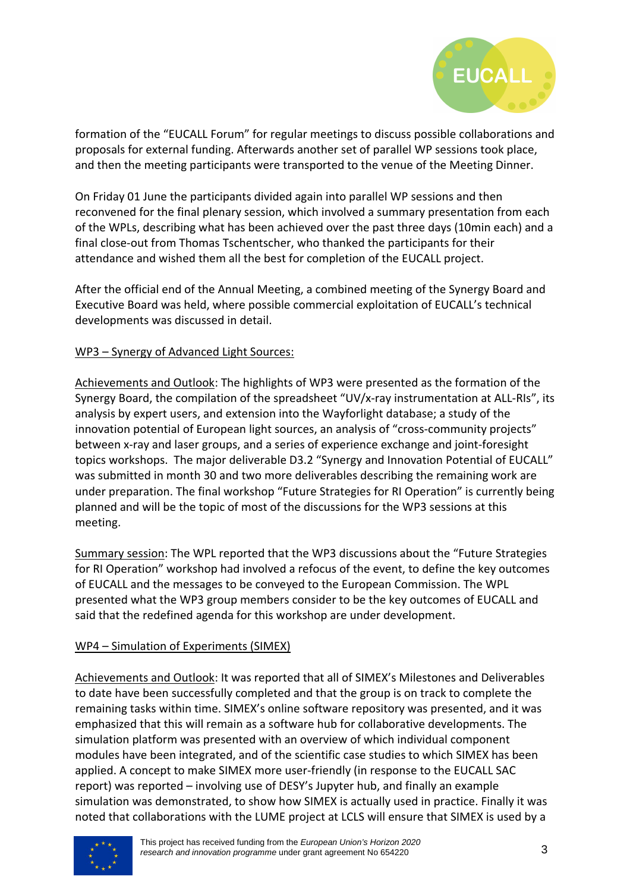

formation of the "EUCALL Forum" for regular meetings to discuss possible collaborations and proposals for external funding. Afterwards another set of parallel WP sessions took place, and then the meeting participants were transported to the venue of the Meeting Dinner.

On Friday 01 June the participants divided again into parallel WP sessions and then reconvened for the final plenary session, which involved a summary presentation from each of the WPLs, describing what has been achieved over the past three days (10min each) and a final close-out from Thomas Tschentscher, who thanked the participants for their attendance and wished them all the best for completion of the EUCALL project.

After the official end of the Annual Meeting, a combined meeting of the Synergy Board and Executive Board was held, where possible commercial exploitation of EUCALL's technical developments was discussed in detail.

### WP3 – Synergy of Advanced Light Sources:

Achievements and Outlook: The highlights of WP3 were presented as the formation of the Synergy Board, the compilation of the spreadsheet "UV/x-ray instrumentation at ALL-RIs", its analysis by expert users, and extension into the Wayforlight database; a study of the innovation potential of European light sources, an analysis of "cross-community projects" between x-ray and laser groups, and a series of experience exchange and joint-foresight topics workshops. The major deliverable D3.2 "Synergy and Innovation Potential of EUCALL" was submitted in month 30 and two more deliverables describing the remaining work are under preparation. The final workshop "Future Strategies for RI Operation" is currently being planned and will be the topic of most of the discussions for the WP3 sessions at this meeting.

Summary session: The WPL reported that the WP3 discussions about the "Future Strategies for RI Operation" workshop had involved a refocus of the event, to define the key outcomes of EUCALL and the messages to be conveyed to the European Commission. The WPL presented what the WP3 group members consider to be the key outcomes of EUCALL and said that the redefined agenda for this workshop are under development.

### WP4 – Simulation of Experiments (SIMEX)

Achievements and Outlook: It was reported that all of SIMEX's Milestones and Deliverables to date have been successfully completed and that the group is on track to complete the remaining tasks within time. SIMEX's online software repository was presented, and it was emphasized that this will remain as a software hub for collaborative developments. The simulation platform was presented with an overview of which individual component modules have been integrated, and of the scientific case studies to which SIMEX has been applied. A concept to make SIMEX more user-friendly (in response to the EUCALL SAC report) was reported – involving use of DESY's Jupyter hub, and finally an example simulation was demonstrated, to show how SIMEX is actually used in practice. Finally it was noted that collaborations with the LUME project at LCLS will ensure that SIMEX is used by a

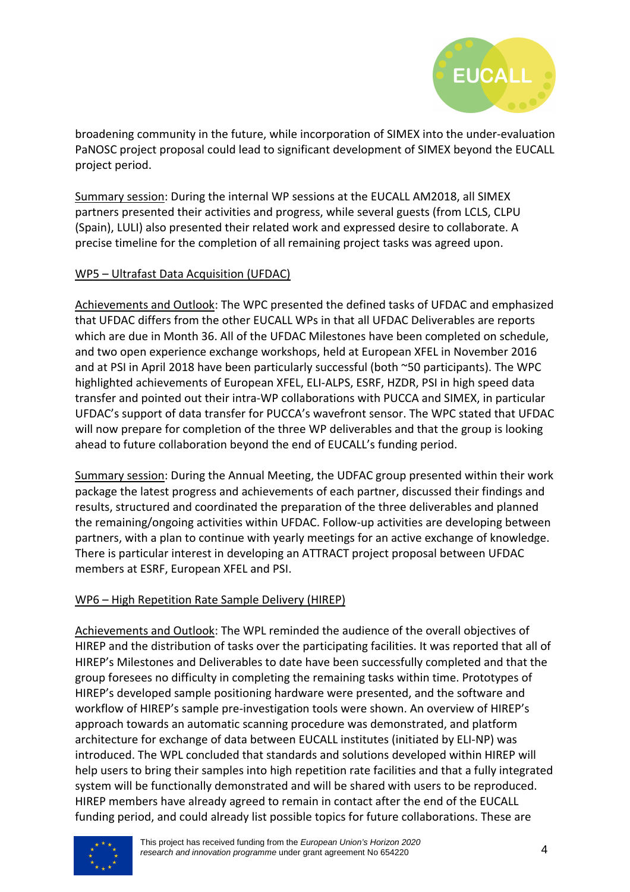

broadening community in the future, while incorporation of SIMEX into the under-evaluation PaNOSC project proposal could lead to significant development of SIMEX beyond the EUCALL project period.

Summary session: During the internal WP sessions at the EUCALL AM2018, all SIMEX partners presented their activities and progress, while several guests (from LCLS, CLPU (Spain), LULI) also presented their related work and expressed desire to collaborate. A precise timeline for the completion of all remaining project tasks was agreed upon.

### WP5 – Ultrafast Data Acquisition (UFDAC)

Achievements and Outlook: The WPC presented the defined tasks of UFDAC and emphasized that UFDAC differs from the other EUCALL WPs in that all UFDAC Deliverables are reports which are due in Month 36. All of the UFDAC Milestones have been completed on schedule, and two open experience exchange workshops, held at European XFEL in November 2016 and at PSI in April 2018 have been particularly successful (both ~50 participants). The WPC highlighted achievements of European XFEL, ELI-ALPS, ESRF, HZDR, PSI in high speed data transfer and pointed out their intra-WP collaborations with PUCCA and SIMEX, in particular UFDAC's support of data transfer for PUCCA's wavefront sensor. The WPC stated that UFDAC will now prepare for completion of the three WP deliverables and that the group is looking ahead to future collaboration beyond the end of EUCALL's funding period.

Summary session: During the Annual Meeting, the UDFAC group presented within their work package the latest progress and achievements of each partner, discussed their findings and results, structured and coordinated the preparation of the three deliverables and planned the remaining/ongoing activities within UFDAC. Follow-up activities are developing between partners, with a plan to continue with yearly meetings for an active exchange of knowledge. There is particular interest in developing an ATTRACT project proposal between UFDAC members at ESRF, European XFEL and PSI.

### WP6 – High Repetition Rate Sample Delivery (HIREP)

Achievements and Outlook: The WPL reminded the audience of the overall objectives of HIREP and the distribution of tasks over the participating facilities. It was reported that all of HIREP's Milestones and Deliverables to date have been successfully completed and that the group foresees no difficulty in completing the remaining tasks within time. Prototypes of HIREP's developed sample positioning hardware were presented, and the software and workflow of HIREP's sample pre-investigation tools were shown. An overview of HIREP's approach towards an automatic scanning procedure was demonstrated, and platform architecture for exchange of data between EUCALL institutes (initiated by ELI-NP) was introduced. The WPL concluded that standards and solutions developed within HIREP will help users to bring their samples into high repetition rate facilities and that a fully integrated system will be functionally demonstrated and will be shared with users to be reproduced. HIREP members have already agreed to remain in contact after the end of the EUCALL funding period, and could already list possible topics for future collaborations. These are

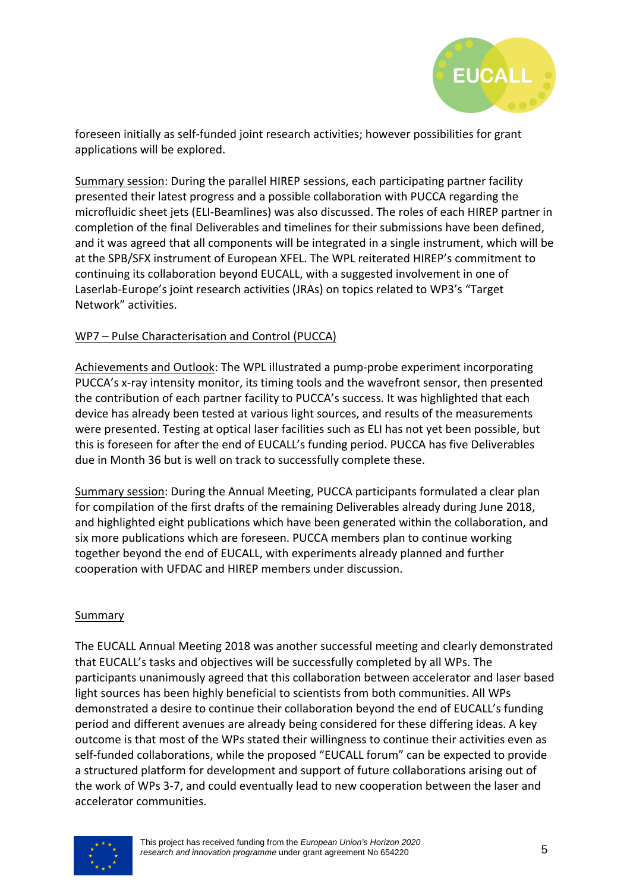

foreseen initially as self-funded joint research activities; however possibilities for grant applications will be explored.

Summary session: During the parallel HIREP sessions, each participating partner facility presented their latest progress and a possible collaboration with PUCCA regarding the microfluidic sheet jets (ELI-Beamlines) was also discussed. The roles of each HIREP partner in completion of the final Deliverables and timelines for their submissions have been defined, and it was agreed that all components will be integrated in a single instrument, which will be at the SPB/SFX instrument of European XFEL. The WPL reiterated HIREP's commitment to continuing its collaboration beyond EUCALL, with a suggested involvement in one of Laserlab-Europe's joint research activities (JRAs) on topics related to WP3's "Target Network" activities.

### WP7 – Pulse Characterisation and Control (PUCCA)

Achievements and Outlook: The WPL illustrated a pump-probe experiment incorporating PUCCA's x-ray intensity monitor, its timing tools and the wavefront sensor, then presented the contribution of each partner facility to PUCCA's success. It was highlighted that each device has already been tested at various light sources, and results of the measurements were presented. Testing at optical laser facilities such as ELI has not yet been possible, but this is foreseen for after the end of EUCALL's funding period. PUCCA has five Deliverables due in Month 36 but is well on track to successfully complete these.

Summary session: During the Annual Meeting, PUCCA participants formulated a clear plan for compilation of the first drafts of the remaining Deliverables already during June 2018, and highlighted eight publications which have been generated within the collaboration, and six more publications which are foreseen. PUCCA members plan to continue working together beyond the end of EUCALL, with experiments already planned and further cooperation with UFDAC and HIREP members under discussion.

### Summary

The EUCALL Annual Meeting 2018 was another successful meeting and clearly demonstrated that EUCALL's tasks and objectives will be successfully completed by all WPs. The participants unanimously agreed that this collaboration between accelerator and laser based light sources has been highly beneficial to scientists from both communities. All WPs demonstrated a desire to continue their collaboration beyond the end of EUCALL's funding period and different avenues are already being considered for these differing ideas. A key outcome is that most of the WPs stated their willingness to continue their activities even as self-funded collaborations, while the proposed "EUCALL forum" can be expected to provide a structured platform for development and support of future collaborations arising out of the work of WPs 3-7, and could eventually lead to new cooperation between the laser and accelerator communities.

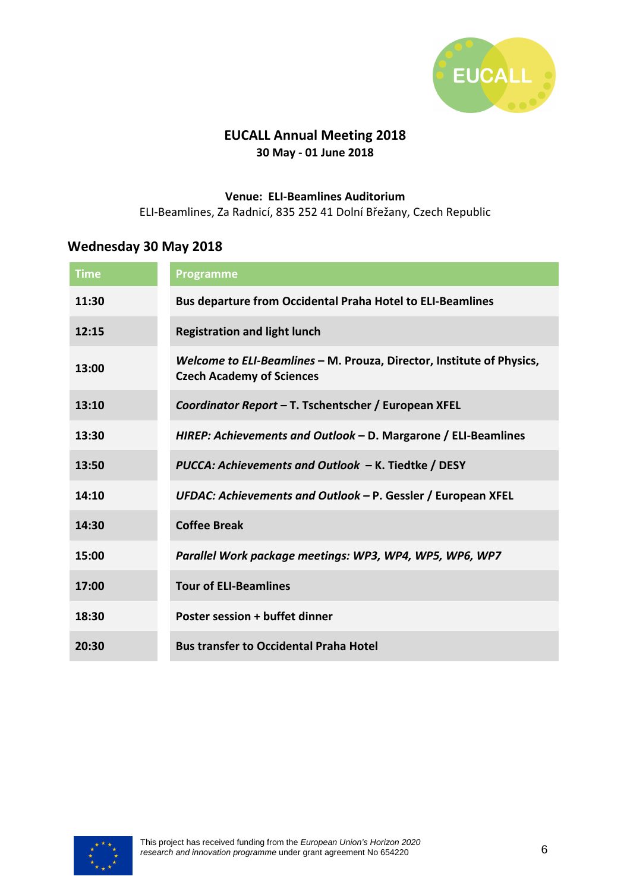

### **EUCALL Annual Meeting 2018 30 May - 01 June 2018**

#### **Venue: ELI-Beamlines Auditorium**

ELI-Beamlines, Za Radnicí, 835 252 41 Dolní Břežany, Czech Republic

### **Wednesday 30 May 2018**

| <b>Time</b> | <b>Programme</b>                                                                                          |
|-------------|-----------------------------------------------------------------------------------------------------------|
| 11:30       | <b>Bus departure from Occidental Praha Hotel to ELI-Beamlines</b>                                         |
| 12:15       | <b>Registration and light lunch</b>                                                                       |
| 13:00       | Welcome to ELI-Beamlines - M. Prouza, Director, Institute of Physics,<br><b>Czech Academy of Sciences</b> |
| 13:10       | Coordinator Report - T. Tschentscher / European XFEL                                                      |
| 13:30       | HIREP: Achievements and Outlook – D. Margarone / ELI-Beamlines                                            |
| 13:50       | PUCCA: Achievements and Outlook - K. Tiedtke / DESY                                                       |
| 14:10       | UFDAC: Achievements and Outlook - P. Gessler / European XFEL                                              |
| 14:30       | <b>Coffee Break</b>                                                                                       |
| 15:00       | Parallel Work package meetings: WP3, WP4, WP5, WP6, WP7                                                   |
| 17:00       | <b>Tour of ELI-Beamlines</b>                                                                              |
| 18:30       | Poster session + buffet dinner                                                                            |
| 20:30       | <b>Bus transfer to Occidental Praha Hotel</b>                                                             |

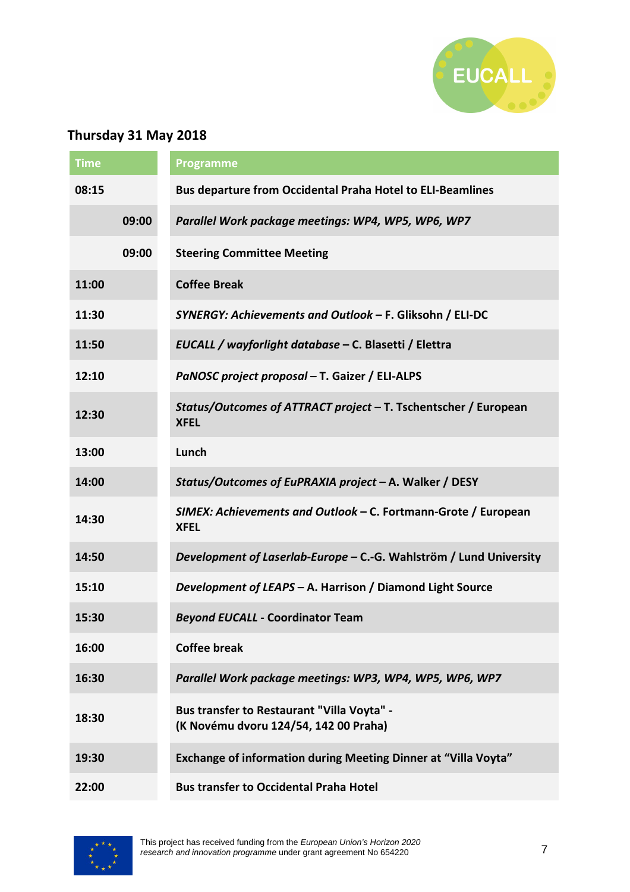

## **Thursday 31 May 2018**

| <b>Time</b> |       | <b>Programme</b>                                                                    |
|-------------|-------|-------------------------------------------------------------------------------------|
| 08:15       |       | <b>Bus departure from Occidental Praha Hotel to ELI-Beamlines</b>                   |
|             | 09:00 | Parallel Work package meetings: WP4, WP5, WP6, WP7                                  |
|             | 09:00 | <b>Steering Committee Meeting</b>                                                   |
| 11:00       |       | <b>Coffee Break</b>                                                                 |
| 11:30       |       | SYNERGY: Achievements and Outlook - F. Gliksohn / ELI-DC                            |
| 11:50       |       | EUCALL / wayforlight database - C. Blasetti / Elettra                               |
| 12:10       |       | PaNOSC project proposal - T. Gaizer / ELI-ALPS                                      |
| 12:30       |       | Status/Outcomes of ATTRACT project - T. Tschentscher / European<br><b>XFEL</b>      |
| 13:00       |       | Lunch                                                                               |
| 14:00       |       | Status/Outcomes of EuPRAXIA project - A. Walker / DESY                              |
| 14:30       |       | SIMEX: Achievements and Outlook - C. Fortmann-Grote / European<br><b>XFEL</b>       |
| 14:50       |       | Development of Laserlab-Europe - C.-G. Wahlström / Lund University                  |
| 15:10       |       | Development of LEAPS - A. Harrison / Diamond Light Source                           |
| 15:30       |       | <b>Beyond EUCALL - Coordinator Team</b>                                             |
| 16:00       |       | <b>Coffee break</b>                                                                 |
| 16:30       |       | Parallel Work package meetings: WP3, WP4, WP5, WP6, WP7                             |
| 18:30       |       | Bus transfer to Restaurant "Villa Voyta" -<br>(K Novému dvoru 124/54, 142 00 Praha) |
| 19:30       |       | <b>Exchange of information during Meeting Dinner at "Villa Voyta"</b>               |
| 22:00       |       | <b>Bus transfer to Occidental Praha Hotel</b>                                       |